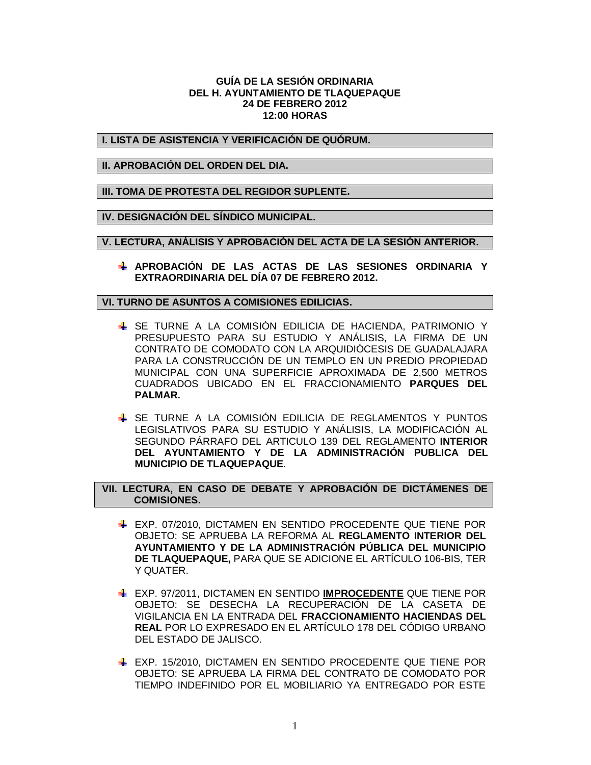## **GUÍA DE LA SESIÓN ORDINARIA DEL H. AYUNTAMIENTO DE TLAQUEPAQUE 24 DE FEBRERO 2012 12:00 HORAS**

**I. LISTA DE ASISTENCIA Y VERIFICACIÓN DE QUÓRUM.**

**II. APROBACIÓN DEL ORDEN DEL DIA.**

**III. TOMA DE PROTESTA DEL REGIDOR SUPLENTE.**

**IV. DESIGNACIÓN DEL SÍNDICO MUNICIPAL.**

**V. LECTURA, ANÁLISIS Y APROBACIÓN DEL ACTA DE LA SESIÓN ANTERIOR.**

**APROBACIÓN DE LAS ACTAS DE LAS SESIONES ORDINARIA Y EXTRAORDINARIA DEL DÍA 07 DE FEBRERO 2012.**

**VI. TURNO DE ASUNTOS A COMISIONES EDILICIAS.**

- SE TURNE A LA COMISIÓN EDILICIA DE HACIENDA, PATRIMONIO Y PRESUPUESTO PARA SU ESTUDIO Y ANÁLISIS, LA FIRMA DE UN CONTRATO DE COMODATO CON LA ARQUIDIÓCESIS DE GUADALAJARA PARA LA CONSTRUCCIÓN DE UN TEMPLO EN UN PREDIO PROPIEDAD MUNICIPAL CON UNA SUPERFICIE APROXIMADA DE 2,500 METROS CUADRADOS UBICADO EN EL FRACCIONAMIENTO **PARQUES DEL PALMAR.**
- SE TURNE A LA COMISIÓN EDILICIA DE REGLAMENTOS Y PUNTOS LEGISLATIVOS PARA SU ESTUDIO Y ANÁLISIS, LA MODIFICACIÓN AL SEGUNDO PÁRRAFO DEL ARTICULO 139 DEL REGLAMENTO **INTERIOR DEL AYUNTAMIENTO Y DE LA ADMINISTRACIÓN PUBLICA DEL MUNICIPIO DE TLAQUEPAQUE**.

**VII. LECTURA, EN CASO DE DEBATE Y APROBACIÓN DE DICTÁMENES DE COMISIONES.**

- EXP. 07/2010, DICTAMEN EN SENTIDO PROCEDENTE QUE TIENE POR OBJETO: SE APRUEBA LA REFORMA AL **REGLAMENTO INTERIOR DEL AYUNTAMIENTO Y DE LA ADMINISTRACIÓN PÚBLICA DEL MUNICIPIO DE TLAQUEPAQUE,** PARA QUE SE ADICIONE EL ARTÍCULO 106-BIS, TER Y QUATER.
- EXP. 97/2011, DICTAMEN EN SENTIDO **IMPROCEDENTE** QUE TIENE POR OBJETO: SE DESECHA LA RECUPERACIÓN DE LA CASETA DE VIGILANCIA EN LA ENTRADA DEL **FRACCIONAMIENTO HACIENDAS DEL REAL** POR LO EXPRESADO EN EL ARTÍCULO 178 DEL CÓDIGO URBANO DEL ESTADO DE JALISCO.
- EXP. 15/2010, DICTAMEN EN SENTIDO PROCEDENTE QUE TIENE POR OBJETO: SE APRUEBA LA FIRMA DEL CONTRATO DE COMODATO POR TIEMPO INDEFINIDO POR EL MOBILIARIO YA ENTREGADO POR ESTE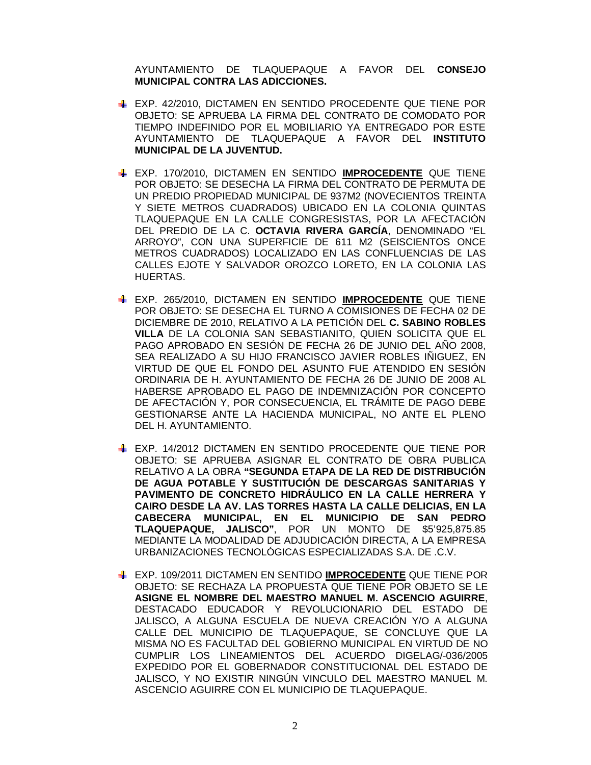AYUNTAMIENTO DE TLAQUEPAQUE A FAVOR DEL **CONSEJO MUNICIPAL CONTRA LAS ADICCIONES.**

- EXP. 42/2010, DICTAMEN EN SENTIDO PROCEDENTE QUE TIENE POR OBJETO: SE APRUEBA LA FIRMA DEL CONTRATO DE COMODATO POR TIEMPO INDEFINIDO POR EL MOBILIARIO YA ENTREGADO POR ESTE AYUNTAMIENTO DE TLAQUEPAQUE A FAVOR DEL **INSTITUTO MUNICIPAL DE LA JUVENTUD.**
- EXP. 170/2010, DICTAMEN EN SENTIDO **IMPROCEDENTE** QUE TIENE POR OBJETO: SE DESECHA LA FIRMA DEL CONTRATO DE PERMUTA DE UN PREDIO PROPIEDAD MUNICIPAL DE 937M2 (NOVECIENTOS TREINTA Y SIETE METROS CUADRADOS) UBICADO EN LA COLONIA QUINTAS TLAQUEPAQUE EN LA CALLE CONGRESISTAS, POR LA AFECTACIÓN DEL PREDIO DE LA C. **OCTAVIA RIVERA GARCÍA**, DENOMINADO "EL ARROYO", CON UNA SUPERFICIE DE 611 M2 (SEISCIENTOS ONCE METROS CUADRADOS) LOCALIZADO EN LAS CONFLUENCIAS DE LAS CALLES EJOTE Y SALVADOR OROZCO LORETO, EN LA COLONIA LAS HUERTAS.
- EXP. 265/2010, DICTAMEN EN SENTIDO **IMPROCEDENTE** QUE TIENE POR OBJETO: SE DESECHA EL TURNO A COMISIONES DE FECHA 02 DE DICIEMBRE DE 2010, RELATIVO A LA PETICIÓN DEL **C. SABINO ROBLES VILLA** DE LA COLONIA SAN SEBASTIANITO, QUIEN SOLICITA QUE EL PAGO APROBADO EN SESIÓN DE FECHA 26 DE JUNIO DEL AÑO 2008, SEA REALIZADO A SU HIJO FRANCISCO JAVIER ROBLES IÑIGUEZ, EN VIRTUD DE QUE EL FONDO DEL ASUNTO FUE ATENDIDO EN SESIÓN ORDINARIA DE H. AYUNTAMIENTO DE FECHA 26 DE JUNIO DE 2008 AL HABERSE APROBADO EL PAGO DE INDEMNIZACIÓN POR CONCEPTO DE AFECTACIÓN Y, POR CONSECUENCIA, EL TRÁMITE DE PAGO DEBE GESTIONARSE ANTE LA HACIENDA MUNICIPAL, NO ANTE EL PLENO DEL H. AYUNTAMIENTO.
- EXP. 14/2012 DICTAMEN EN SENTIDO PROCEDENTE QUE TIENE POR OBJETO: SE APRUEBA ASIGNAR EL CONTRATO DE OBRA PUBLICA RELATIVO A LA OBRA **"SEGUNDA ETAPA DE LA RED DE DISTRIBUCIÓN DE AGUA POTABLE Y SUSTITUCIÓN DE DESCARGAS SANITARIAS Y PAVIMENTO DE CONCRETO HIDRÁULICO EN LA CALLE HERRERA Y CAIRO DESDE LA AV. LAS TORRES HASTA LA CALLE DELICIAS, EN LA CABECERA MUNICIPAL, EN EL MUNICIPIO DE SAN PEDRO TLAQUEPAQUE, JALISCO"**, POR UN MONTO DE \$5'925,875.85 MEDIANTE LA MODALIDAD DE ADJUDICACIÓN DIRECTA, A LA EMPRESA URBANIZACIONES TECNOLÓGICAS ESPECIALIZADAS S.A. DE .C.V.
- EXP. 109/2011 DICTAMEN EN SENTIDO **IMPROCEDENTE** QUE TIENE POR OBJETO: SE RECHAZA LA PROPUESTA QUE TIENE POR OBJETO SE LE **ASIGNE EL NOMBRE DEL MAESTRO MANUEL M. ASCENCIO AGUIRRE**, DESTACADO EDUCADOR Y REVOLUCIONARIO DEL ESTADO DE JALISCO, A ALGUNA ESCUELA DE NUEVA CREACIÓN Y/O A ALGUNA CALLE DEL MUNICIPIO DE TLAQUEPAQUE, SE CONCLUYE QUE LA MISMA NO ES FACULTAD DEL GOBIERNO MUNICIPAL EN VIRTUD DE NO CUMPLIR LOS LINEAMIENTOS DEL ACUERDO DIGELAG/-036/2005 EXPEDIDO POR EL GOBERNADOR CONSTITUCIONAL DEL ESTADO DE JALISCO, Y NO EXISTIR NINGÚN VINCULO DEL MAESTRO MANUEL M. ASCENCIO AGUIRRE CON EL MUNICIPIO DE TLAQUEPAQUE.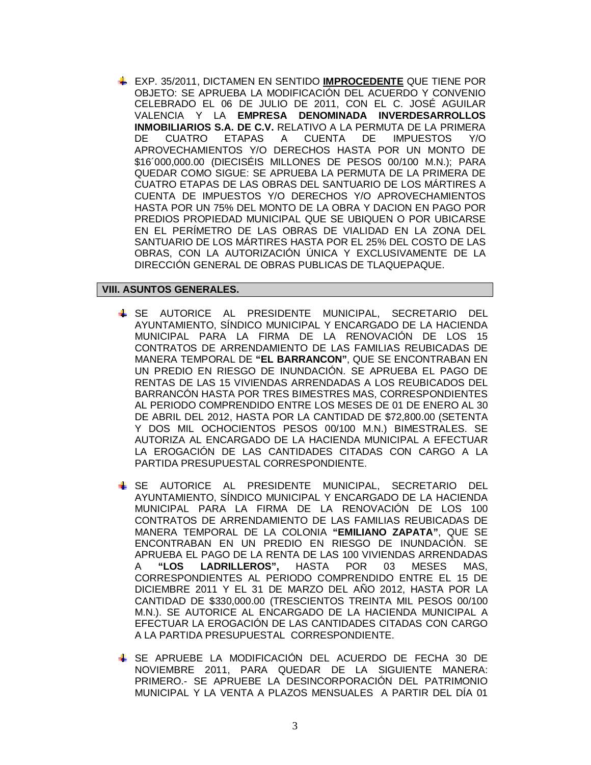EXP. 35/2011, DICTAMEN EN SENTIDO **IMPROCEDENTE** QUE TIENE POR OBJETO: SE APRUEBA LA MODIFICACIÓN DEL ACUERDO Y CONVENIO CELEBRADO EL 06 DE JULIO DE 2011, CON EL C. JOSÉ AGUILAR VALENCIA Y LA **EMPRESA DENOMINADA INVERDESARROLLOS INMOBILIARIOS S.A. DE C.V.** RELATIVO A LA PERMUTA DE LA PRIMERA DE CUATRO ETAPAS A CUENTA DE IMPUESTOS Y/O APROVECHAMIENTOS Y/O DERECHOS HASTA POR UN MONTO DE \$16´000,000.00 (DIECISÉIS MILLONES DE PESOS 00/100 M.N.); PARA QUEDAR COMO SIGUE: SE APRUEBA LA PERMUTA DE LA PRIMERA DE CUATRO ETAPAS DE LAS OBRAS DEL SANTUARIO DE LOS MÁRTIRES A CUENTA DE IMPUESTOS Y/O DERECHOS Y/O APROVECHAMIENTOS HASTA POR UN 75% DEL MONTO DE LA OBRA Y DACION EN PAGO POR PREDIOS PROPIEDAD MUNICIPAL QUE SE UBIQUEN O POR UBICARSE EN EL PERÍMETRO DE LAS OBRAS DE VIALIDAD EN LA ZONA DEL SANTUARIO DE LOS MÁRTIRES HASTA POR EL 25% DEL COSTO DE LAS OBRAS, CON LA AUTORIZACIÓN ÚNICA Y EXCLUSIVAMENTE DE LA DIRECCIÓN GENERAL DE OBRAS PUBLICAS DE TLAQUEPAQUE.

## **VIII. ASUNTOS GENERALES.**

- SE AUTORICE AL PRESIDENTE MUNICIPAL, SECRETARIO DEL AYUNTAMIENTO, SÍNDICO MUNICIPAL Y ENCARGADO DE LA HACIENDA MUNICIPAL PARA LA FIRMA DE LA RENOVACIÓN DE LOS 15 CONTRATOS DE ARRENDAMIENTO DE LAS FAMILIAS REUBICADAS DE MANERA TEMPORAL DE **"EL BARRANCON"**, QUE SE ENCONTRABAN EN UN PREDIO EN RIESGO DE INUNDACIÓN. SE APRUEBA EL PAGO DE RENTAS DE LAS 15 VIVIENDAS ARRENDADAS A LOS REUBICADOS DEL BARRANCÓN HASTA POR TRES BIMESTRES MAS, CORRESPONDIENTES AL PERIODO COMPRENDIDO ENTRE LOS MESES DE 01 DE ENERO AL 30 DE ABRIL DEL 2012, HASTA POR LA CANTIDAD DE \$72,800.00 (SETENTA Y DOS MIL OCHOCIENTOS PESOS 00/100 M.N.) BIMESTRALES. SE AUTORIZA AL ENCARGADO DE LA HACIENDA MUNICIPAL A EFECTUAR LA EROGACIÓN DE LAS CANTIDADES CITADAS CON CARGO A LA PARTIDA PRESUPUESTAL CORRESPONDIENTE.
- SE AUTORICE AL PRESIDENTE MUNICIPAL, SECRETARIO DEL AYUNTAMIENTO, SÍNDICO MUNICIPAL Y ENCARGADO DE LA HACIENDA MUNICIPAL PARA LA FIRMA DE LA RENOVACIÓN DE LOS 100 CONTRATOS DE ARRENDAMIENTO DE LAS FAMILIAS REUBICADAS DE MANERA TEMPORAL DE LA COLONIA **"EMILIANO ZAPATA"**, QUE SE ENCONTRABAN EN UN PREDIO EN RIESGO DE INUNDACIÓN. SE APRUEBA EL PAGO DE LA RENTA DE LAS 100 VIVIENDAS ARRENDADAS A **"LOS LADRILLEROS",** HASTA POR 03 MESES MAS, CORRESPONDIENTES AL PERIODO COMPRENDIDO ENTRE EL 15 DE DICIEMBRE 2011 Y EL 31 DE MARZO DEL AÑO 2012, HASTA POR LA CANTIDAD DE \$330,000.00 (TRESCIENTOS TREINTA MIL PESOS 00/100 M.N.). SE AUTORICE AL ENCARGADO DE LA HACIENDA MUNICIPAL A EFECTUAR LA EROGACIÓN DE LAS CANTIDADES CITADAS CON CARGO A LA PARTIDA PRESUPUESTAL CORRESPONDIENTE.
- SE APRUEBE LA MODIFICACIÓN DEL ACUERDO DE FECHA 30 DE NOVIEMBRE 2011, PARA QUEDAR DE LA SIGUIENTE MANERA: PRIMERO.- SE APRUEBE LA DESINCORPORACIÓN DEL PATRIMONIO MUNICIPAL Y LA VENTA A PLAZOS MENSUALES A PARTIR DEL DÍA 01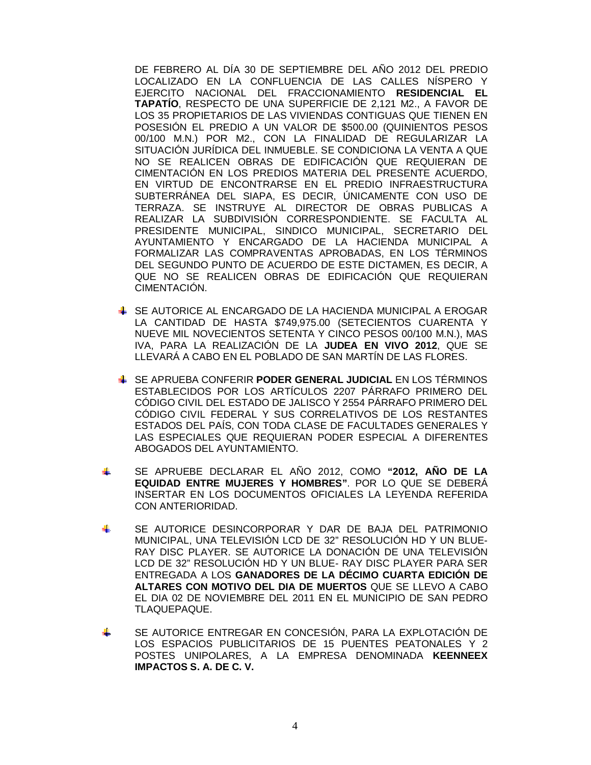DE FEBRERO AL DÍA 30 DE SEPTIEMBRE DEL AÑO 2012 DEL PREDIO LOCALIZADO EN LA CONFLUENCIA DE LAS CALLES NÍSPERO Y EJERCITO NACIONAL DEL FRACCIONAMIENTO **RESIDENCIAL EL TAPATÍO**, RESPECTO DE UNA SUPERFICIE DE 2,121 M2., A FAVOR DE LOS 35 PROPIETARIOS DE LAS VIVIENDAS CONTIGUAS QUE TIENEN EN POSESIÓN EL PREDIO A UN VALOR DE \$500.00 (QUINIENTOS PESOS 00/100 M.N.) POR M2., CON LA FINALIDAD DE REGULARIZAR LA SITUACIÓN JURÍDICA DEL INMUEBLE. SE CONDICIONA LA VENTA A QUE NO SE REALICEN OBRAS DE EDIFICACIÓN QUE REQUIERAN DE CIMENTACIÓN EN LOS PREDIOS MATERIA DEL PRESENTE ACUERDO, EN VIRTUD DE ENCONTRARSE EN EL PREDIO INFRAESTRUCTURA SUBTERRÁNEA DEL SIAPA, ES DECIR, ÚNICAMENTE CON USO DE TERRAZA. SE INSTRUYE AL DIRECTOR DE OBRAS PUBLICAS A REALIZAR LA SUBDIVISIÓN CORRESPONDIENTE. SE FACULTA AL PRESIDENTE MUNICIPAL, SINDICO MUNICIPAL, SECRETARIO DEL AYUNTAMIENTO Y ENCARGADO DE LA HACIENDA MUNICIPAL A FORMALIZAR LAS COMPRAVENTAS APROBADAS, EN LOS TÉRMINOS DEL SEGUNDO PUNTO DE ACUERDO DE ESTE DICTAMEN, ES DECIR, A QUE NO SE REALICEN OBRAS DE EDIFICACIÓN QUE REQUIERAN CIMENTACIÓN.

- SE AUTORICE AL ENCARGADO DE LA HACIENDA MUNICIPAL A EROGAR LA CANTIDAD DE HASTA \$749,975.00 (SETECIENTOS CUARENTA Y NUEVE MIL NOVECIENTOS SETENTA Y CINCO PESOS 00/100 M.N.), MAS IVA, PARA LA REALIZACIÓN DE LA **JUDEA EN VIVO 2012**, QUE SE LLEVARÁ A CABO EN EL POBLADO DE SAN MARTÍN DE LAS FLORES.
- SE APRUEBA CONFERIR **PODER GENERAL JUDICIAL** EN LOS TÉRMINOS ESTABLECIDOS POR LOS ARTÍCULOS 2207 PÁRRAFO PRIMERO DEL CÓDIGO CIVIL DEL ESTADO DE JALISCO Y 2554 PÁRRAFO PRIMERO DEL CÓDIGO CIVIL FEDERAL Y SUS CORRELATIVOS DE LOS RESTANTES ESTADOS DEL PAÍS, CON TODA CLASE DE FACULTADES GENERALES Y LAS ESPECIALES QUE REQUIERAN PODER ESPECIAL A DIFERENTES ABOGADOS DEL AYUNTAMIENTO.
- $\frac{1}{2}$ SE APRUEBE DECLARAR EL AÑO 2012, COMO **"2012, AÑO DE LA EQUIDAD ENTRE MUJERES Y HOMBRES"**. POR LO QUE SE DEBERÁ INSERTAR EN LOS DOCUMENTOS OFICIALES LA LEYENDA REFERIDA CON ANTERIORIDAD.
- SE AUTORICE DESINCORPORAR Y DAR DE BAJA DEL PATRIMONIO ₩. MUNICIPAL, UNA TELEVISIÓN LCD DE 32" RESOLUCIÓN HD Y UN BLUE-RAY DISC PLAYER. SE AUTORICE LA DONACIÓN DE UNA TELEVISIÓN LCD DE 32" RESOLUCIÓN HD Y UN BLUE- RAY DISC PLAYER PARA SER ENTREGADA A LOS **GANADORES DE LA DÉCIMO CUARTA EDICIÓN DE ALTARES CON MOTIVO DEL DIA DE MUERTOS** QUE SE LLEVO A CABO EL DIA 02 DE NOVIEMBRE DEL 2011 EN EL MUNICIPIO DE SAN PEDRO TLAQUEPAQUE.
- ÷ SE AUTORICE ENTREGAR EN CONCESIÓN, PARA LA EXPLOTACIÓN DE LOS ESPACIOS PUBLICITARIOS DE 15 PUENTES PEATONALES Y 2 POSTES UNIPOLARES, A LA EMPRESA DENOMINADA **KEENNEEX IMPACTOS S. A. DE C. V.**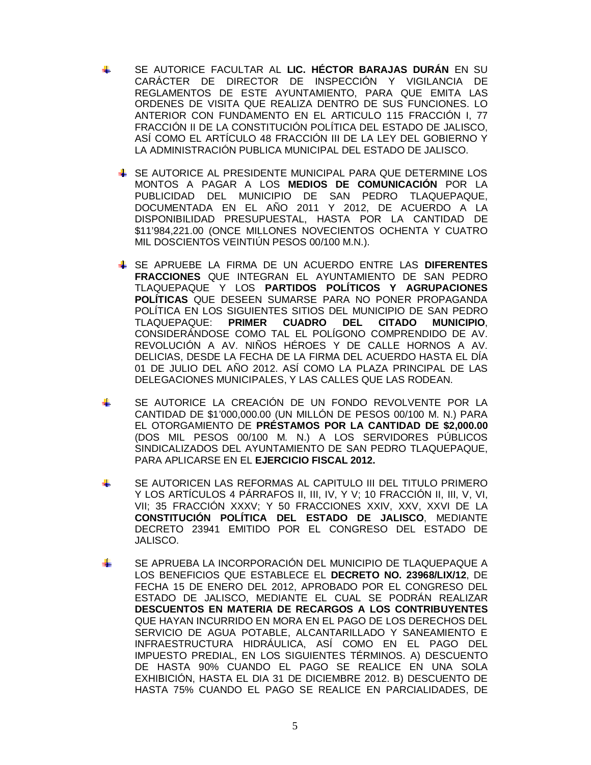- SE AUTORICE FACULTAR AL **LIC. HÉCTOR BARAJAS DURÁN** EN SU CARÁCTER DE DIRECTOR DE INSPECCIÓN Y VIGILANCIA DE REGLAMENTOS DE ESTE AYUNTAMIENTO, PARA QUE EMITA LAS ORDENES DE VISITA QUE REALIZA DENTRO DE SUS FUNCIONES. LO ANTERIOR CON FUNDAMENTO EN EL ARTICULO 115 FRACCIÓN I, 77 FRACCIÓN II DE LA CONSTITUCIÓN POLÍTICA DEL ESTADO DE JALISCO, ASÍ COMO EL ARTÍCULO 48 FRACCIÓN III DE LA LEY DEL GOBIERNO Y LA ADMINISTRACIÓN PUBLICA MUNICIPAL DEL ESTADO DE JALISCO.
	- SE AUTORICE AL PRESIDENTE MUNICIPAL PARA QUE DETERMINE LOS MONTOS A PAGAR A LOS **MEDIOS DE COMUNICACIÓN** POR LA PUBLICIDAD DEL MUNICIPIO DE SAN PEDRO TLAQUEPAQUE, DOCUMENTADA EN EL AÑO 2011 Y 2012, DE ACUERDO A LA DISPONIBILIDAD PRESUPUESTAL, HASTA POR LA CANTIDAD DE \$11'984,221.00 (ONCE MILLONES NOVECIENTOS OCHENTA Y CUATRO MIL DOSCIENTOS VEINTIÚN PESOS 00/100 M.N.).
	- SE APRUEBE LA FIRMA DE UN ACUERDO ENTRE LAS **DIFERENTES FRACCIONES** QUE INTEGRAN EL AYUNTAMIENTO DE SAN PEDRO TLAQUEPAQUE Y LOS **PARTIDOS POLÍTICOS Y AGRUPACIONES POLÍTICAS** QUE DESEEN SUMARSE PARA NO PONER PROPAGANDA POLÍTICA EN LOS SIGUIENTES SITIOS DEL MUNICIPIO DE SAN PEDRO TLAQUEPAQUE: **PRIMER CUADRO DEL CITADO MUNICIPIO**, CONSIDERÁNDOSE COMO TAL EL POLÍGONO COMPRENDIDO DE AV. REVOLUCIÓN A AV. NIÑOS HÉROES Y DE CALLE HORNOS A AV. DELICIAS, DESDE LA FECHA DE LA FIRMA DEL ACUERDO HASTA EL DÍA 01 DE JULIO DEL AÑO 2012. ASÍ COMO LA PLAZA PRINCIPAL DE LAS DELEGACIONES MUNICIPALES, Y LAS CALLES QUE LAS RODEAN.
- ÷. SE AUTORICE LA CREACIÓN DE UN FONDO REVOLVENTE POR LA CANTIDAD DE \$1'000,000.00 (UN MILLÓN DE PESOS 00/100 M. N.) PARA EL OTORGAMIENTO DE **PRÉSTAMOS POR LA CANTIDAD DE \$2,000.00** (DOS MIL PESOS 00/100 M. N.) A LOS SERVIDORES PÚBLICOS SINDICALIZADOS DEL AYUNTAMIENTO DE SAN PEDRO TLAQUEPAQUE, PARA APLICARSE EN EL **EJERCICIO FISCAL 2012.**
- SE AUTORICEN LAS REFORMAS AL CAPITULO III DEL TITULO PRIMERO J. Y LOS ARTÍCULOS 4 PÁRRAFOS II, III, IV, Y V; 10 FRACCIÓN II, III, V, VI, VII; 35 FRACCIÓN XXXV; Y 50 FRACCIONES XXIV, XXV, XXVI DE LA **CONSTITUCIÓN POLÍTICA DEL ESTADO DE JALISCO**, MEDIANTE DECRETO 23941 EMITIDO POR EL CONGRESO DEL ESTADO DE JALISCO.
- ÷ SE APRUEBA LA INCORPORACIÓN DEL MUNICIPIO DE TLAQUEPAQUE A LOS BENEFICIOS QUE ESTABLECE EL **DECRETO NO. 23968/LIX/12**, DE FECHA 15 DE ENERO DEL 2012, APROBADO POR EL CONGRESO DEL ESTADO DE JALISCO, MEDIANTE EL CUAL SE PODRÁN REALIZAR **DESCUENTOS EN MATERIA DE RECARGOS A LOS CONTRIBUYENTES** QUE HAYAN INCURRIDO EN MORA EN EL PAGO DE LOS DERECHOS DEL SERVICIO DE AGUA POTABLE, ALCANTARILLADO Y SANEAMIENTO E INFRAESTRUCTURA HIDRÁULICA, ASÍ COMO EN EL PAGO DEL IMPUESTO PREDIAL, EN LOS SIGUIENTES TÉRMINOS. A) DESCUENTO DE HASTA 90% CUANDO EL PAGO SE REALICE EN UNA SOLA EXHIBICIÓN, HASTA EL DIA 31 DE DICIEMBRE 2012. B) DESCUENTO DE HASTA 75% CUANDO EL PAGO SE REALICE EN PARCIALIDADES, DE